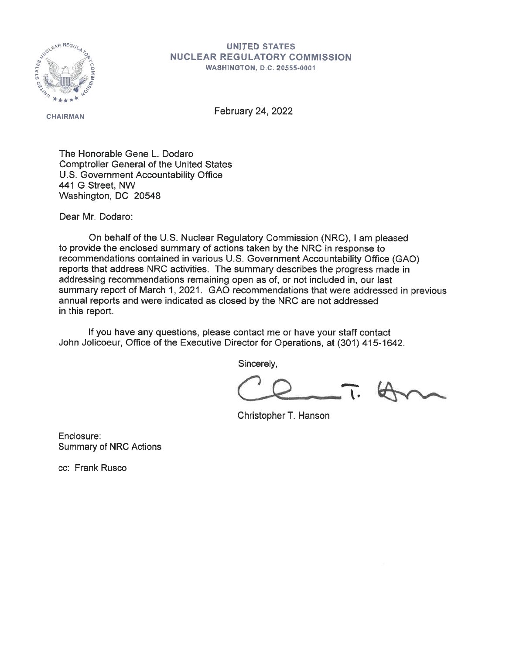

## **UNITED STATES NUCLEAR REGULATORY COMMISSION WASHINGTON, D.C. 20555-0001**

**CHAIRMAN** 

February 24, 2022

The Honorable Gene L. Dodaro Comptroller General of the United States U.S. Government Accountability Office 441 G Street, NW Washington, DC 20548

Dear Mr. Dodaro:

On behalf of the U.S. Nuclear Regulatory Commission (NRG), I am pleased to provide the enclosed summary of actions taken by the NRC in response to recommendations contained in various U.S. Government Accountability Office (GAO) reports that address NRC activities. The summary describes the progress made in addressing recommendations remaining open as of, or not included in, our last summary report of March 1, 2021. GAO recommendations that were addressed in previous annual reports and were indicated as closed by the NRC are not addressed in this report.

If you have any questions, please contact me or have your staff contact John Jolicoeur, Office of the Executive Director for Operations, at (301) 415-1642.

Sincerely,

 $\overline{\phantom{a}}$ 

Christopher T. Hanson

Enclosure: Summary of NRC Actions

cc: Frank Rusco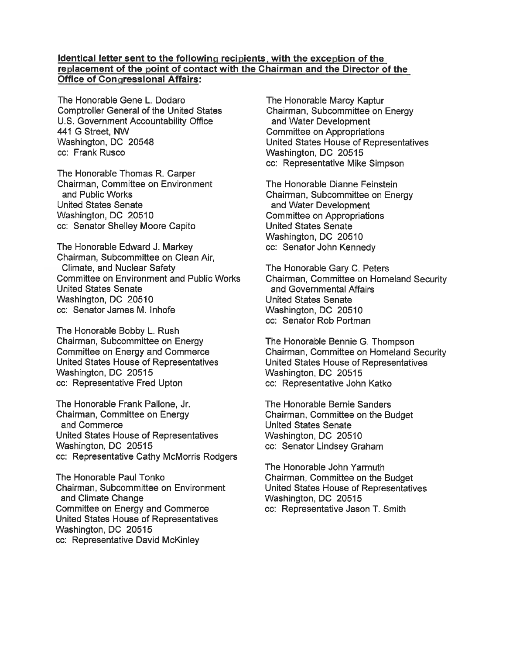## **Identical letter sent to the following recipients, with the exception of the replacement of the point of contact with the Chairman and the Director of the Office of Congressional Affairs:**

The Honorable Gene L. Dodaro Comptroller General of the United States U.S. Government Accountability Office 441 G Street, NW Washington, DC 20548 cc: Frank Rusco

The Honorable Thomas R. Carper Chairman, Committee on Environment and Public Works United States Senate Washington, DC 20510 cc: Senator Shelley Moore Capito

The Honorable Edward J. Markey Chairman, Subcommittee on Clean Air, Climate, and Nuclear Safety Committee on Environment and Public Works United States Senate Washington, DC 20510 cc: Senator James M. lnhofe

The Honorable Bobby L. Rush Chairman, Subcommittee on Energy Committee on Energy and Commerce United States House of Representatives Washington, DC 20515 cc: Representative Fred Upton

The Honorable Frank Pallone, Jr. Chairman, Committee on Energy and Commerce United States House of Representatives Washington, DC 20515 cc: Representative Cathy McMorris Rodgers

The Honorable Paul Tonko Chairman, Subcommittee on Environment and Climate Change Committee on Energy and Commerce United States House of Representatives Washington, DC 20515 cc: Representative David McKinley

The Honorable Marcy Kaptur Chairman, Subcommittee on Energy and Water Development Committee on Appropriations United States House of Representatives Washington, DC 20515 cc: Representative Mike Simpson

The Honorable Dianne Feinstein Chairman, Subcommittee on Energy and Water Development Committee on Appropriations United States Senate Washington, DC 20510 cc: Senator John Kennedy

The Honorable Gary C. Peters Chairman, Committee on Homeland Security and Governmental Affairs United States Senate Washington, DC 20510 cc: Senator Rob Portman

The Honorable Bennie G. Thompson Chairman, Committee on Homeland Security United States House of Representatives Washington, DC 20515 cc: Representative John Katke

The Honorable Bernie Sanders Chairman, Committee on the Budget United States Senate Washington, DC 20510 cc: Senator Lindsey Graham

The Honorable John Yarmuth Chairman, Committee on the Budget United States House of Representatives Washington, DC 20515 cc: Representative Jason T. Smith